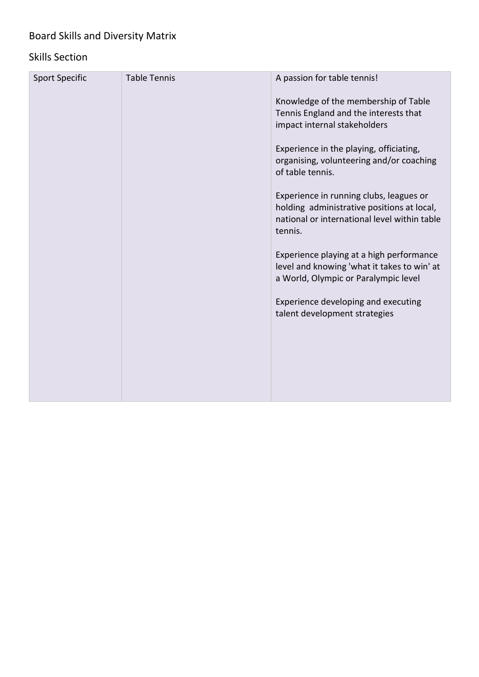## Board Skills and Diversity Matrix

## Skills Section

| <b>Sport Specific</b> | <b>Table Tennis</b> | A passion for table tennis!                                                                                                                      |
|-----------------------|---------------------|--------------------------------------------------------------------------------------------------------------------------------------------------|
|                       |                     | Knowledge of the membership of Table<br>Tennis England and the interests that<br>impact internal stakeholders                                    |
|                       |                     | Experience in the playing, officiating,<br>organising, volunteering and/or coaching<br>of table tennis.                                          |
|                       |                     | Experience in running clubs, leagues or<br>holding administrative positions at local,<br>national or international level within table<br>tennis. |
|                       |                     | Experience playing at a high performance<br>level and knowing 'what it takes to win' at<br>a World, Olympic or Paralympic level                  |
|                       |                     | Experience developing and executing<br>talent development strategies                                                                             |
|                       |                     |                                                                                                                                                  |
|                       |                     |                                                                                                                                                  |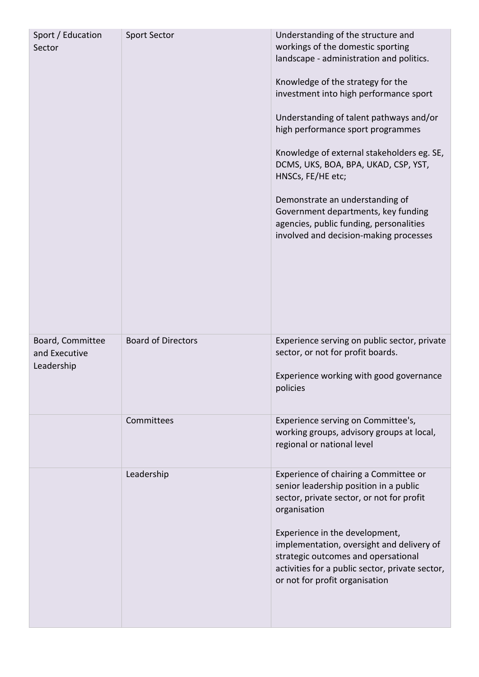| Sport / Education<br>Sector                     | <b>Sport Sector</b>       | Understanding of the structure and<br>workings of the domestic sporting<br>landscape - administration and politics.<br>Knowledge of the strategy for the<br>investment into high performance sport<br>Understanding of talent pathways and/or<br>high performance sport programmes<br>Knowledge of external stakeholders eg. SE,<br>DCMS, UKS, BOA, BPA, UKAD, CSP, YST,<br>HNSCs, FE/HE etc;<br>Demonstrate an understanding of<br>Government departments, key funding<br>agencies, public funding, personalities<br>involved and decision-making processes |
|-------------------------------------------------|---------------------------|--------------------------------------------------------------------------------------------------------------------------------------------------------------------------------------------------------------------------------------------------------------------------------------------------------------------------------------------------------------------------------------------------------------------------------------------------------------------------------------------------------------------------------------------------------------|
| Board, Committee<br>and Executive<br>Leadership | <b>Board of Directors</b> | Experience serving on public sector, private<br>sector, or not for profit boards.<br>Experience working with good governance<br>policies                                                                                                                                                                                                                                                                                                                                                                                                                     |
|                                                 | Committees                | Experience serving on Committee's,<br>working groups, advisory groups at local,<br>regional or national level                                                                                                                                                                                                                                                                                                                                                                                                                                                |
|                                                 | Leadership                | Experience of chairing a Committee or<br>senior leadership position in a public<br>sector, private sector, or not for profit<br>organisation<br>Experience in the development,<br>implementation, oversight and delivery of<br>strategic outcomes and opersational<br>activities for a public sector, private sector,<br>or not for profit organisation                                                                                                                                                                                                      |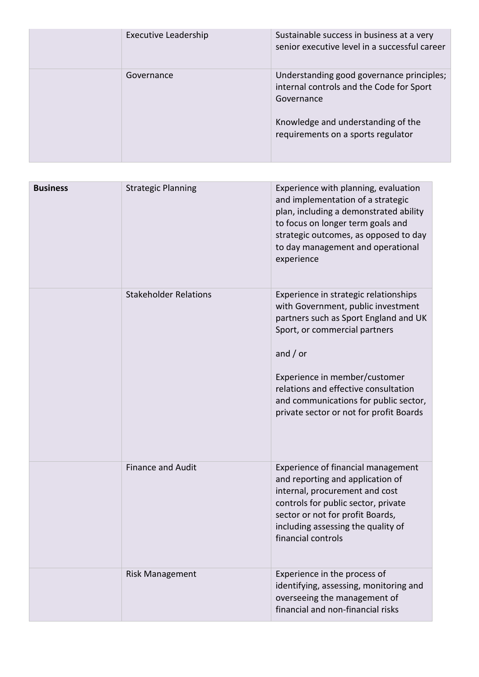| <b>Executive Leadership</b> | Sustainable success in business at a very<br>senior executive level in a successful career          |
|-----------------------------|-----------------------------------------------------------------------------------------------------|
| Governance                  | Understanding good governance principles;<br>internal controls and the Code for Sport<br>Governance |
|                             | Knowledge and understanding of the<br>requirements on a sports regulator                            |

| <b>Business</b> | <b>Strategic Planning</b>    | Experience with planning, evaluation<br>and implementation of a strategic<br>plan, including a demonstrated ability<br>to focus on longer term goals and<br>strategic outcomes, as opposed to day<br>to day management and operational<br>experience                                                                             |
|-----------------|------------------------------|----------------------------------------------------------------------------------------------------------------------------------------------------------------------------------------------------------------------------------------------------------------------------------------------------------------------------------|
|                 | <b>Stakeholder Relations</b> | Experience in strategic relationships<br>with Government, public investment<br>partners such as Sport England and UK<br>Sport, or commercial partners<br>and $/$ or<br>Experience in member/customer<br>relations and effective consultation<br>and communications for public sector,<br>private sector or not for profit Boards |
|                 | <b>Finance and Audit</b>     | Experience of financial management<br>and reporting and application of<br>internal, procurement and cost<br>controls for public sector, private<br>sector or not for profit Boards,<br>including assessing the quality of<br>financial controls                                                                                  |
|                 | <b>Risk Management</b>       | Experience in the process of<br>identifying, assessing, monitoring and<br>overseeing the management of<br>financial and non-financial risks                                                                                                                                                                                      |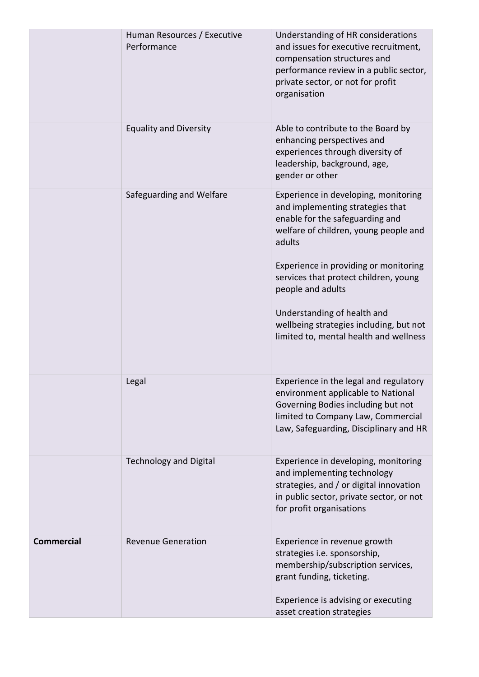|                   | Human Resources / Executive<br>Performance | Understanding of HR considerations<br>and issues for executive recruitment,<br>compensation structures and<br>performance review in a public sector,<br>private sector, or not for profit<br>organisation                                                                                                                                                                                 |
|-------------------|--------------------------------------------|-------------------------------------------------------------------------------------------------------------------------------------------------------------------------------------------------------------------------------------------------------------------------------------------------------------------------------------------------------------------------------------------|
|                   | <b>Equality and Diversity</b>              | Able to contribute to the Board by<br>enhancing perspectives and<br>experiences through diversity of<br>leadership, background, age,<br>gender or other                                                                                                                                                                                                                                   |
|                   | Safeguarding and Welfare                   | Experience in developing, monitoring<br>and implementing strategies that<br>enable for the safeguarding and<br>welfare of children, young people and<br>adults<br>Experience in providing or monitoring<br>services that protect children, young<br>people and adults<br>Understanding of health and<br>wellbeing strategies including, but not<br>limited to, mental health and wellness |
|                   | Legal                                      | Experience in the legal and regulatory<br>environment applicable to National<br>Governing Bodies including but not<br>limited to Company Law, Commercial<br>Law, Safeguarding, Disciplinary and HR                                                                                                                                                                                        |
|                   | <b>Technology and Digital</b>              | Experience in developing, monitoring<br>and implementing technology<br>strategies, and / or digital innovation<br>in public sector, private sector, or not<br>for profit organisations                                                                                                                                                                                                    |
| <b>Commercial</b> | <b>Revenue Generation</b>                  | Experience in revenue growth<br>strategies i.e. sponsorship,<br>membership/subscription services,<br>grant funding, ticketing.<br>Experience is advising or executing<br>asset creation strategies                                                                                                                                                                                        |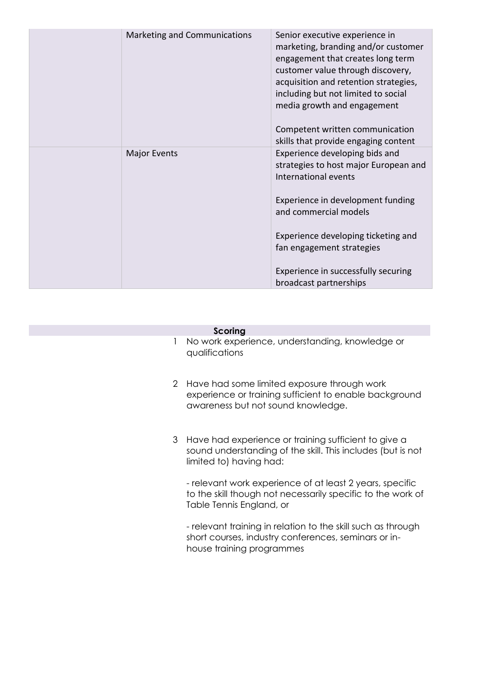| Marketing and Communications | Senior executive experience in<br>marketing, branding and/or customer<br>engagement that creates long term<br>customer value through discovery,<br>acquisition and retention strategies,<br>including but not limited to social<br>media growth and engagement<br>Competent written communication<br>skills that provide engaging content |
|------------------------------|-------------------------------------------------------------------------------------------------------------------------------------------------------------------------------------------------------------------------------------------------------------------------------------------------------------------------------------------|
| <b>Major Events</b>          | Experience developing bids and<br>strategies to host major European and<br>International events<br>Experience in development funding<br>and commercial models<br>Experience developing ticketing and<br>fan engagement strategies<br>Experience in successfully securing<br>broadcast partnerships                                        |

## **Scoring**

- 1 No work experience, understanding, knowledge or qualifications
- 2 Have had some limited exposure through work experience or training sufficient to enable background awareness but not sound knowledge.
- 3 Have had experience or training sufficient to give a sound understanding of the skill. This includes (but is not limited to) having had:

- relevant work experience of at least 2 years, specific to the skill though not necessarily specific to the work of Table Tennis England, or

- relevant training in relation to the skill such as through short courses, industry conferences, seminars or inhouse training programmes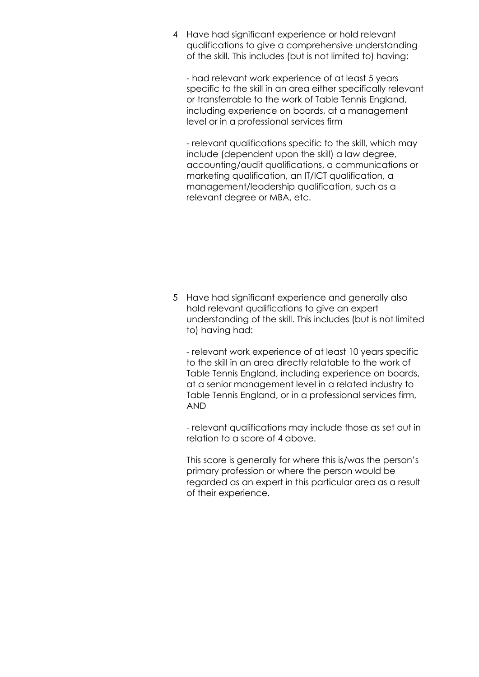4 Have had significant experience or hold relevant qualifications to give a comprehensive understanding of the skill. This includes (but is not limited to) having:

- had relevant work experience of at least 5 years specific to the skill in an area either specifically relevant or transferrable to the work of Table Tennis England, including experience on boards, at a management level or in a professional services firm

- relevant qualifications specific to the skill, which may include (dependent upon the skill) a law degree, accounting/audit qualifications, a communications or marketing qualification, an IT/ICT qualification, a management/leadership qualification, such as a relevant degree or MBA, etc.

5 Have had significant experience and generally also hold relevant qualifications to give an expert understanding of the skill. This includes (but is not limited to) having had:

- relevant work experience of at least 10 years specific to the skill in an area directly relatable to the work of Table Tennis England, including experience on boards, at a senior management level in a related industry to Table Tennis England, or in a professional services firm, AND

- relevant qualifications may include those as set out in relation to a score of 4 above.

This score is generally for where this is/was the person's primary profession or where the person would be regarded as an expert in this particular area as a result of their experience.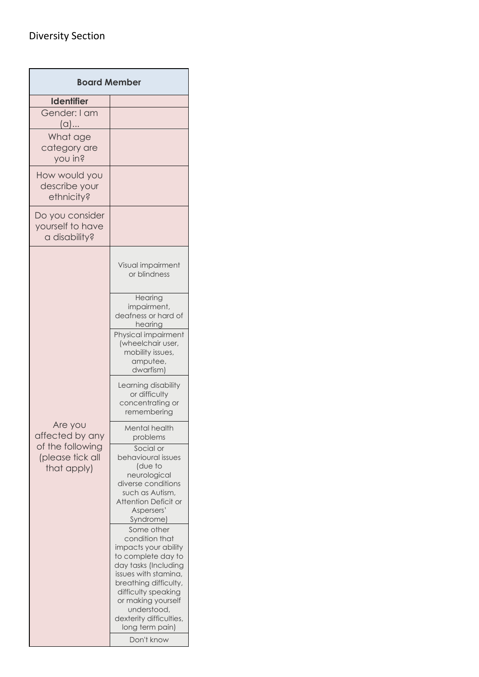## Diversity Section

| <b>Board Member</b>                                  |                                                                                                                                                                                                                                                                                                               |  |
|------------------------------------------------------|---------------------------------------------------------------------------------------------------------------------------------------------------------------------------------------------------------------------------------------------------------------------------------------------------------------|--|
| <b>Identifier</b>                                    |                                                                                                                                                                                                                                                                                                               |  |
| Gender: I am<br>$(a)$                                |                                                                                                                                                                                                                                                                                                               |  |
| What age<br>category are<br>you in?                  |                                                                                                                                                                                                                                                                                                               |  |
| How would you<br>describe your<br>ethnicity?         |                                                                                                                                                                                                                                                                                                               |  |
| Do you consider<br>yourself to have<br>a disability? |                                                                                                                                                                                                                                                                                                               |  |
|                                                      | Visual impairment<br>or blindness                                                                                                                                                                                                                                                                             |  |
|                                                      | Hearing<br>impairment,<br>deafness or hard of<br>hearing                                                                                                                                                                                                                                                      |  |
|                                                      | Physical impairment<br>(wheelchair user,<br>mobility issues,<br>amputee,<br>dwarfism)                                                                                                                                                                                                                         |  |
|                                                      | Learning disability<br>or difficulty<br>concentrating or<br>remembering                                                                                                                                                                                                                                       |  |
| Are you<br>affected by any                           | Mental health<br>problems                                                                                                                                                                                                                                                                                     |  |
| of the following<br>(please tick all<br>that apply)  | Social or<br>behavioural issues<br>(due to<br>neurological<br>diverse conditions<br>such as Autism,<br>Attention Deficit or<br>Aspersers'<br>Syndrome)<br>Some other<br>condition that<br>impacts your ability<br>to complete day to<br>day tasks (Including<br>issues with stamina,<br>breathing difficulty, |  |
|                                                      | difficulty speaking<br>or making yourself<br>understood,<br>dexterity difficulties,<br>long term pain)<br>Don't know                                                                                                                                                                                          |  |